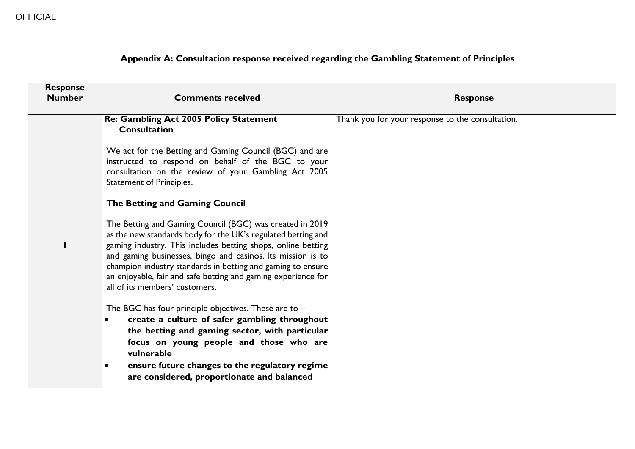| Appendix A: Consultation response received regarding the Gambling Statement of Principles |  |  |
|-------------------------------------------------------------------------------------------|--|--|
|                                                                                           |  |  |

| <b>Response</b><br><b>Number</b> | <b>Comments received</b>                                                                                                                                                                                                                                                                                                                                                                                                  | <b>Response</b>                                  |
|----------------------------------|---------------------------------------------------------------------------------------------------------------------------------------------------------------------------------------------------------------------------------------------------------------------------------------------------------------------------------------------------------------------------------------------------------------------------|--------------------------------------------------|
|                                  | <b>Re: Gambling Act 2005 Policy Statement</b><br><b>Consultation</b>                                                                                                                                                                                                                                                                                                                                                      | Thank you for your response to the consultation. |
|                                  | We act for the Betting and Gaming Council (BGC) and are<br>instructed to respond on behalf of the BGC to your<br>consultation on the review of your Gambling Act 2005<br>Statement of Principles.                                                                                                                                                                                                                         |                                                  |
|                                  | <b>The Betting and Gaming Council</b>                                                                                                                                                                                                                                                                                                                                                                                     |                                                  |
| H                                | The Betting and Gaming Council (BGC) was created in 2019<br>as the new standards body for the UK's regulated betting and<br>gaming industry. This includes betting shops, online betting<br>and gaming businesses, bingo and casinos. Its mission is to<br>champion industry standards in betting and gaming to ensure<br>an enjoyable, fair and safe betting and gaming experience for<br>all of its members' customers. |                                                  |
|                                  | The BGC has four principle objectives. These are to -<br>create a culture of safer gambling throughout<br>$\bullet$<br>the betting and gaming sector, with particular<br>focus on young people and those who are<br>vulnerable<br>ensure future changes to the regulatory regime<br>$\bullet$<br>are considered, proportionate and balanced                                                                               |                                                  |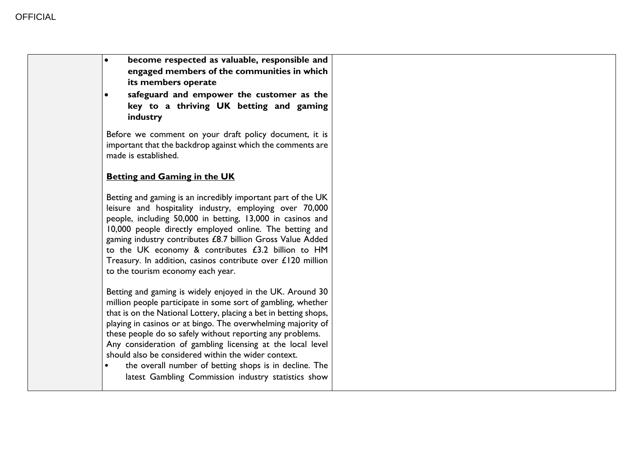| become respected as valuable, responsible and<br>engaged members of the communities in which<br>its members operate<br>safeguard and empower the customer as the<br>key to a thriving UK betting and gaming<br>industry<br>Before we comment on your draft policy document, it is<br>important that the backdrop against which the comments are<br>made is established.<br><b>Betting and Gaming in the UK</b><br>Betting and gaming is an incredibly important part of the UK<br>leisure and hospitality industry, employing over 70,000<br>people, including 50,000 in betting, 13,000 in casinos and<br>10,000 people directly employed online. The betting and<br>gaming industry contributes £8.7 billion Gross Value Added<br>to the UK economy & contributes £3.2 billion to HM<br>Treasury. In addition, casinos contribute over £120 million<br>to the tourism economy each year.<br>Betting and gaming is widely enjoyed in the UK. Around 30<br>million people participate in some sort of gambling, whether<br>that is on the National Lottery, placing a bet in betting shops,<br>playing in casinos or at bingo. The overwhelming majority of<br>these people do so safely without reporting any problems.<br>Any consideration of gambling licensing at the local level |                                                     |  |
|----------------------------------------------------------------------------------------------------------------------------------------------------------------------------------------------------------------------------------------------------------------------------------------------------------------------------------------------------------------------------------------------------------------------------------------------------------------------------------------------------------------------------------------------------------------------------------------------------------------------------------------------------------------------------------------------------------------------------------------------------------------------------------------------------------------------------------------------------------------------------------------------------------------------------------------------------------------------------------------------------------------------------------------------------------------------------------------------------------------------------------------------------------------------------------------------------------------------------------------------------------------------------------------|-----------------------------------------------------|--|
|                                                                                                                                                                                                                                                                                                                                                                                                                                                                                                                                                                                                                                                                                                                                                                                                                                                                                                                                                                                                                                                                                                                                                                                                                                                                                        |                                                     |  |
|                                                                                                                                                                                                                                                                                                                                                                                                                                                                                                                                                                                                                                                                                                                                                                                                                                                                                                                                                                                                                                                                                                                                                                                                                                                                                        |                                                     |  |
|                                                                                                                                                                                                                                                                                                                                                                                                                                                                                                                                                                                                                                                                                                                                                                                                                                                                                                                                                                                                                                                                                                                                                                                                                                                                                        |                                                     |  |
|                                                                                                                                                                                                                                                                                                                                                                                                                                                                                                                                                                                                                                                                                                                                                                                                                                                                                                                                                                                                                                                                                                                                                                                                                                                                                        |                                                     |  |
|                                                                                                                                                                                                                                                                                                                                                                                                                                                                                                                                                                                                                                                                                                                                                                                                                                                                                                                                                                                                                                                                                                                                                                                                                                                                                        |                                                     |  |
| the overall number of betting shops is in decline. The<br>latest Gambling Commission industry statistics show                                                                                                                                                                                                                                                                                                                                                                                                                                                                                                                                                                                                                                                                                                                                                                                                                                                                                                                                                                                                                                                                                                                                                                          | should also be considered within the wider context. |  |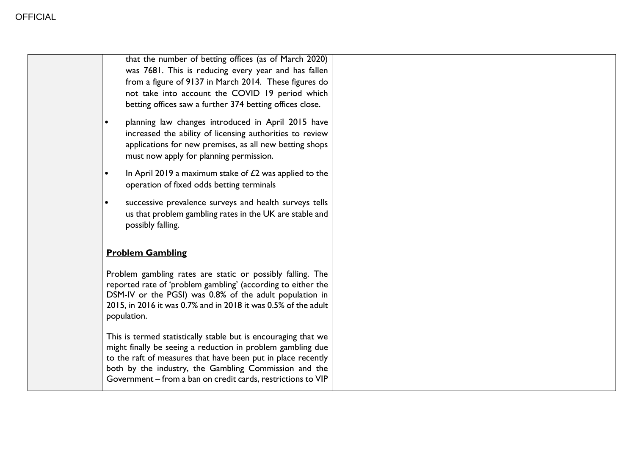| that the number of betting offices (as of March 2020)<br>was 7681. This is reducing every year and has fallen<br>from a figure of 9137 in March 2014. These figures do<br>not take into account the COVID 19 period which<br>betting offices saw a further 374 betting offices close.                                  |
|------------------------------------------------------------------------------------------------------------------------------------------------------------------------------------------------------------------------------------------------------------------------------------------------------------------------|
| planning law changes introduced in April 2015 have<br>increased the ability of licensing authorities to review<br>applications for new premises, as all new betting shops<br>must now apply for planning permission.                                                                                                   |
| In April 2019 a maximum stake of $E2$ was applied to the<br>$\bullet$<br>operation of fixed odds betting terminals                                                                                                                                                                                                     |
| successive prevalence surveys and health surveys tells<br>$\bullet$<br>us that problem gambling rates in the UK are stable and<br>possibly falling.                                                                                                                                                                    |
| <b>Problem Gambling</b>                                                                                                                                                                                                                                                                                                |
| Problem gambling rates are static or possibly falling. The<br>reported rate of 'problem gambling' (according to either the<br>DSM-IV or the PGSI) was 0.8% of the adult population in<br>2015, in 2016 it was 0.7% and in 2018 it was 0.5% of the adult<br>population.                                                 |
| This is termed statistically stable but is encouraging that we<br>might finally be seeing a reduction in problem gambling due<br>to the raft of measures that have been put in place recently<br>both by the industry, the Gambling Commission and the<br>Government - from a ban on credit cards, restrictions to VIP |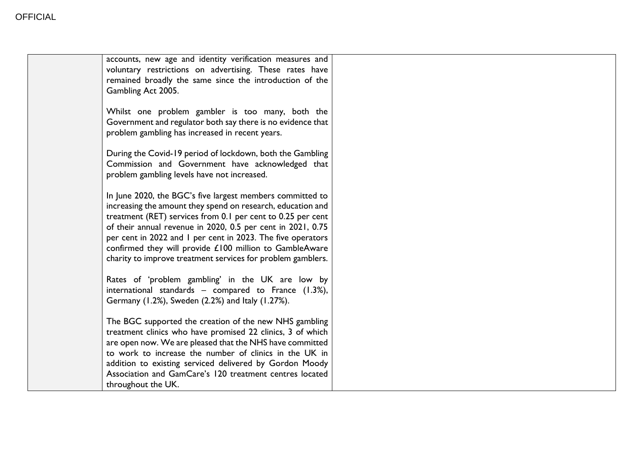| accounts, new age and identity verification measures and<br>voluntary restrictions on advertising. These rates have<br>remained broadly the same since the introduction of the<br>Gambling Act 2005.                                                                                                                                                                                                                                            |  |
|-------------------------------------------------------------------------------------------------------------------------------------------------------------------------------------------------------------------------------------------------------------------------------------------------------------------------------------------------------------------------------------------------------------------------------------------------|--|
| Whilst one problem gambler is too many, both the<br>Government and regulator both say there is no evidence that<br>problem gambling has increased in recent years.                                                                                                                                                                                                                                                                              |  |
| During the Covid-19 period of lockdown, both the Gambling<br>Commission and Government have acknowledged that<br>problem gambling levels have not increased.                                                                                                                                                                                                                                                                                    |  |
| In June 2020, the BGC's five largest members committed to<br>increasing the amount they spend on research, education and<br>treatment (RET) services from 0.1 per cent to 0.25 per cent<br>of their annual revenue in 2020, 0.5 per cent in 2021, 0.75<br>per cent in 2022 and I per cent in 2023. The five operators<br>confirmed they will provide £100 million to GambleAware<br>charity to improve treatment services for problem gamblers. |  |
| Rates of 'problem gambling' in the UK are low by<br>international standards - compared to France (1.3%),<br>Germany (1.2%), Sweden (2.2%) and Italy (1.27%).                                                                                                                                                                                                                                                                                    |  |
| The BGC supported the creation of the new NHS gambling<br>treatment clinics who have promised 22 clinics, 3 of which<br>are open now. We are pleased that the NHS have committed<br>to work to increase the number of clinics in the UK in<br>addition to existing serviced delivered by Gordon Moody<br>Association and GamCare's 120 treatment centres located<br>throughout the UK.                                                          |  |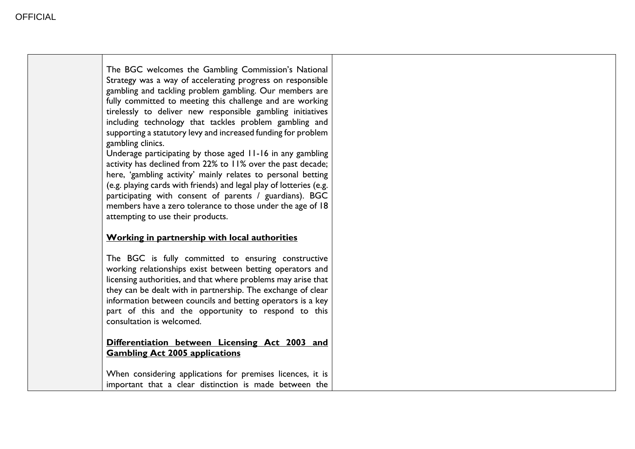─ा

| The BGC welcomes the Gambling Commission's National<br>Strategy was a way of accelerating progress on responsible<br>gambling and tackling problem gambling. Our members are<br>fully committed to meeting this challenge and are working<br>tirelessly to deliver new responsible gambling initiatives<br>including technology that tackles problem gambling and<br>supporting a statutory levy and increased funding for problem<br>gambling clinics.<br>Underage participating by those aged 11-16 in any gambling<br>activity has declined from 22% to 11% over the past decade;<br>here, 'gambling activity' mainly relates to personal betting<br>(e.g. playing cards with friends) and legal play of lotteries (e.g.<br>participating with consent of parents / guardians). BGC<br>members have a zero tolerance to those under the age of 18<br>attempting to use their products. |  |
|-------------------------------------------------------------------------------------------------------------------------------------------------------------------------------------------------------------------------------------------------------------------------------------------------------------------------------------------------------------------------------------------------------------------------------------------------------------------------------------------------------------------------------------------------------------------------------------------------------------------------------------------------------------------------------------------------------------------------------------------------------------------------------------------------------------------------------------------------------------------------------------------|--|
| Working in partnership with local authorities                                                                                                                                                                                                                                                                                                                                                                                                                                                                                                                                                                                                                                                                                                                                                                                                                                             |  |
| The BGC is fully committed to ensuring constructive<br>working relationships exist between betting operators and<br>licensing authorities, and that where problems may arise that<br>they can be dealt with in partnership. The exchange of clear<br>information between councils and betting operators is a key<br>part of this and the opportunity to respond to this<br>consultation is welcomed.                                                                                                                                                                                                                                                                                                                                                                                                                                                                                      |  |
| Differentiation between Licensing Act 2003 and<br><b>Gambling Act 2005 applications</b>                                                                                                                                                                                                                                                                                                                                                                                                                                                                                                                                                                                                                                                                                                                                                                                                   |  |
| When considering applications for premises licences, it is<br>important that a clear distinction is made between the                                                                                                                                                                                                                                                                                                                                                                                                                                                                                                                                                                                                                                                                                                                                                                      |  |

Τ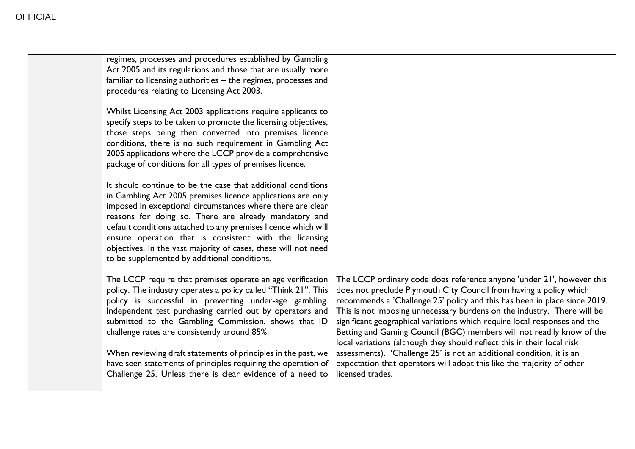| regimes, processes and procedures established by Gambling<br>Act 2005 and its regulations and those that are usually more<br>familiar to licensing authorities - the regimes, processes and<br>procedures relating to Licensing Act 2003.                                                                                                                                                                                                                                                        |                                                                                                                                                                                                                                                                                                                                                                                                                                                                                                                                                                                                               |
|--------------------------------------------------------------------------------------------------------------------------------------------------------------------------------------------------------------------------------------------------------------------------------------------------------------------------------------------------------------------------------------------------------------------------------------------------------------------------------------------------|---------------------------------------------------------------------------------------------------------------------------------------------------------------------------------------------------------------------------------------------------------------------------------------------------------------------------------------------------------------------------------------------------------------------------------------------------------------------------------------------------------------------------------------------------------------------------------------------------------------|
| Whilst Licensing Act 2003 applications require applicants to<br>specify steps to be taken to promote the licensing objectives,<br>those steps being then converted into premises licence<br>conditions, there is no such requirement in Gambling Act<br>2005 applications where the LCCP provide a comprehensive<br>package of conditions for all types of premises licence.                                                                                                                     |                                                                                                                                                                                                                                                                                                                                                                                                                                                                                                                                                                                                               |
| It should continue to be the case that additional conditions<br>in Gambling Act 2005 premises licence applications are only<br>imposed in exceptional circumstances where there are clear<br>reasons for doing so. There are already mandatory and<br>default conditions attached to any premises licence which will<br>ensure operation that is consistent with the licensing<br>objectives. In the vast majority of cases, these will not need<br>to be supplemented by additional conditions. |                                                                                                                                                                                                                                                                                                                                                                                                                                                                                                                                                                                                               |
| The LCCP require that premises operate an age verification<br>policy. The industry operates a policy called "Think 21". This<br>policy is successful in preventing under-age gambling.<br>Independent test purchasing carried out by operators and<br>submitted to the Gambling Commission, shows that ID<br>challenge rates are consistently around 85%.<br>When reviewing draft statements of principles in the past, we                                                                       | The LCCP ordinary code does reference anyone 'under 21', however this<br>does not preclude Plymouth City Council from having a policy which<br>recommends a 'Challenge 25' policy and this has been in place since 2019.<br>This is not imposing unnecessary burdens on the industry. There will be<br>significant geographical variations which require local responses and the<br>Betting and Gaming Council (BGC) members will not readily know of the<br>local variations (although they should reflect this in their local risk<br>assessments). 'Challenge 25' is not an additional condition, it is an |
| have seen statements of principles requiring the operation of<br>Challenge 25. Unless there is clear evidence of a need to                                                                                                                                                                                                                                                                                                                                                                       | expectation that operators will adopt this like the majority of other<br>licensed trades.                                                                                                                                                                                                                                                                                                                                                                                                                                                                                                                     |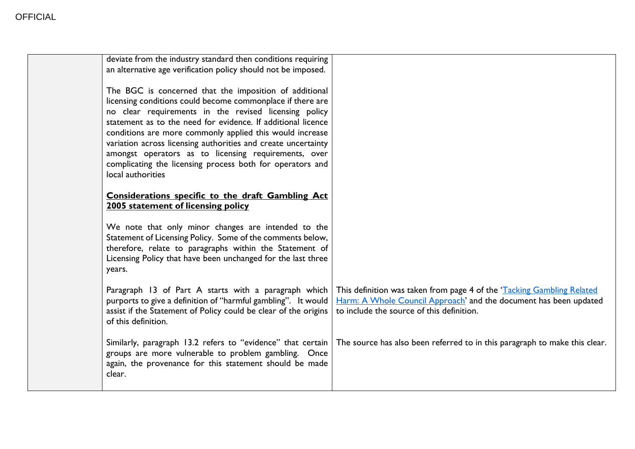| deviate from the industry standard then conditions requiring<br>an alternative age verification policy should not be imposed.                                                                                                                                                                                                                                                                                                                                                                                        |                                                                                                                                                                                          |
|----------------------------------------------------------------------------------------------------------------------------------------------------------------------------------------------------------------------------------------------------------------------------------------------------------------------------------------------------------------------------------------------------------------------------------------------------------------------------------------------------------------------|------------------------------------------------------------------------------------------------------------------------------------------------------------------------------------------|
| The BGC is concerned that the imposition of additional<br>licensing conditions could become commonplace if there are<br>no clear requirements in the revised licensing policy<br>statement as to the need for evidence. If additional licence<br>conditions are more commonly applied this would increase<br>variation across licensing authorities and create uncertainty<br>amongst operators as to licensing requirements, over<br>complicating the licensing process both for operators and<br>local authorities |                                                                                                                                                                                          |
| Considerations specific to the draft Gambling Act<br>2005 statement of licensing policy                                                                                                                                                                                                                                                                                                                                                                                                                              |                                                                                                                                                                                          |
| We note that only minor changes are intended to the<br>Statement of Licensing Policy. Some of the comments below,<br>therefore, relate to paragraphs within the Statement of<br>Licensing Policy that have been unchanged for the last three<br>years.                                                                                                                                                                                                                                                               |                                                                                                                                                                                          |
| Paragraph 13 of Part A starts with a paragraph which<br>purports to give a definition of "harmful gambling". It would<br>assist if the Statement of Policy could be clear of the origins<br>of this definition.                                                                                                                                                                                                                                                                                                      | This definition was taken from page 4 of the 'Tacking Gambling Related<br>Harm: A Whole Council Approach' and the document has been updated<br>to include the source of this definition. |
| Similarly, paragraph 13.2 refers to "evidence" that certain<br>groups are more vulnerable to problem gambling. Once<br>again, the provenance for this statement should be made<br>clear.                                                                                                                                                                                                                                                                                                                             | The source has also been referred to in this paragraph to make this clear.                                                                                                               |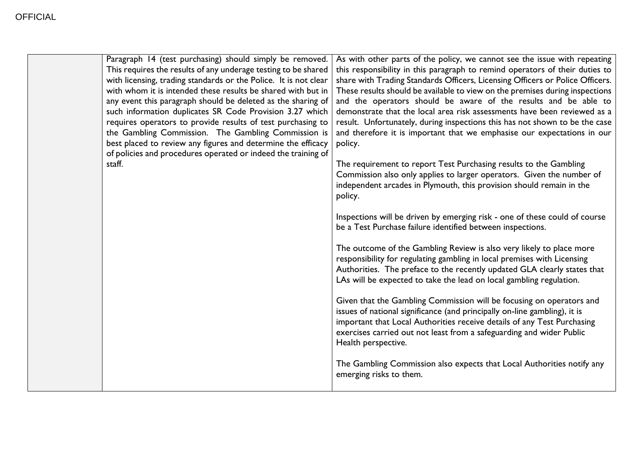| As with other parts of the policy, we cannot see the issue with repeating<br>this responsibility in this paragraph to remind operators of their duties to<br>share with Trading Standards Officers, Licensing Officers or Police Officers.<br>These results should be available to view on the premises during inspections<br>and the operators should be aware of the results and be able to<br>demonstrate that the local area risk assessments have been reviewed as a<br>result. Unfortunately, during inspections this has not shown to be the case<br>and therefore it is important that we emphasise our expectations in our<br>The requirement to report Test Purchasing results to the Gambling<br>Commission also only applies to larger operators. Given the number of<br>independent arcades in Plymouth, this provision should remain in the<br>Inspections will be driven by emerging risk - one of these could of course<br>be a Test Purchase failure identified between inspections.<br>The outcome of the Gambling Review is also very likely to place more<br>responsibility for regulating gambling in local premises with Licensing<br>Authorities. The preface to the recently updated GLA clearly states that |
|--------------------------------------------------------------------------------------------------------------------------------------------------------------------------------------------------------------------------------------------------------------------------------------------------------------------------------------------------------------------------------------------------------------------------------------------------------------------------------------------------------------------------------------------------------------------------------------------------------------------------------------------------------------------------------------------------------------------------------------------------------------------------------------------------------------------------------------------------------------------------------------------------------------------------------------------------------------------------------------------------------------------------------------------------------------------------------------------------------------------------------------------------------------------------------------------------------------------------------------|
|                                                                                                                                                                                                                                                                                                                                                                                                                                                                                                                                                                                                                                                                                                                                                                                                                                                                                                                                                                                                                                                                                                                                                                                                                                      |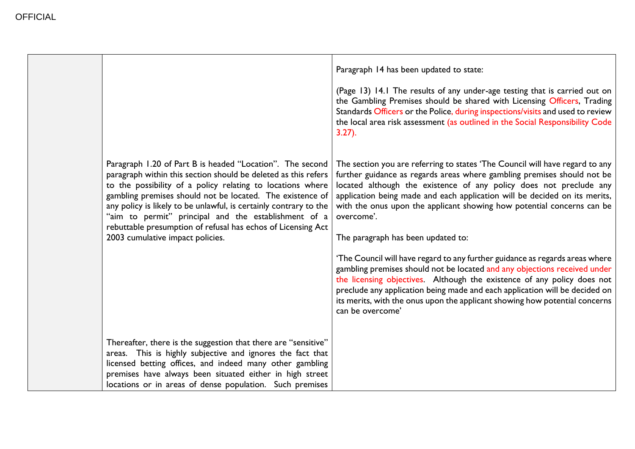|                                                                                                                                                                                                                                                                                                                                                                                                                                                                                         | Paragraph 14 has been updated to state:<br>(Page 13) 14.1 The results of any under-age testing that is carried out on<br>the Gambling Premises should be shared with Licensing Officers, Trading<br>Standards Officers or the Police, during inspections/visits and used to review<br>the local area risk assessment (as outlined in the Social Responsibility Code<br>$3.27$ ).                                                                                                                                                                                                                                                                                                                                                                                                                                                                                    |
|-----------------------------------------------------------------------------------------------------------------------------------------------------------------------------------------------------------------------------------------------------------------------------------------------------------------------------------------------------------------------------------------------------------------------------------------------------------------------------------------|---------------------------------------------------------------------------------------------------------------------------------------------------------------------------------------------------------------------------------------------------------------------------------------------------------------------------------------------------------------------------------------------------------------------------------------------------------------------------------------------------------------------------------------------------------------------------------------------------------------------------------------------------------------------------------------------------------------------------------------------------------------------------------------------------------------------------------------------------------------------|
| Paragraph 1.20 of Part B is headed "Location". The second<br>paragraph within this section should be deleted as this refers<br>to the possibility of a policy relating to locations where<br>gambling premises should not be located. The existence of<br>any policy is likely to be unlawful, is certainly contrary to the<br>"aim to permit" principal and the establishment of a<br>rebuttable presumption of refusal has echos of Licensing Act<br>2003 cumulative impact policies. | The section you are referring to states 'The Council will have regard to any<br>further guidance as regards areas where gambling premises should not be<br>located although the existence of any policy does not preclude any<br>application being made and each application will be decided on its merits,<br>with the onus upon the applicant showing how potential concerns can be<br>overcome'.<br>The paragraph has been updated to:<br>'The Council will have regard to any further guidance as regards areas where<br>gambling premises should not be located and any objections received under<br>the licensing objectives. Although the existence of any policy does not<br>preclude any application being made and each application will be decided on<br>its merits, with the onus upon the applicant showing how potential concerns<br>can be overcome' |
| Thereafter, there is the suggestion that there are "sensitive"<br>areas. This is highly subjective and ignores the fact that<br>licensed betting offices, and indeed many other gambling<br>premises have always been situated either in high street<br>locations or in areas of dense population. Such premises                                                                                                                                                                        |                                                                                                                                                                                                                                                                                                                                                                                                                                                                                                                                                                                                                                                                                                                                                                                                                                                                     |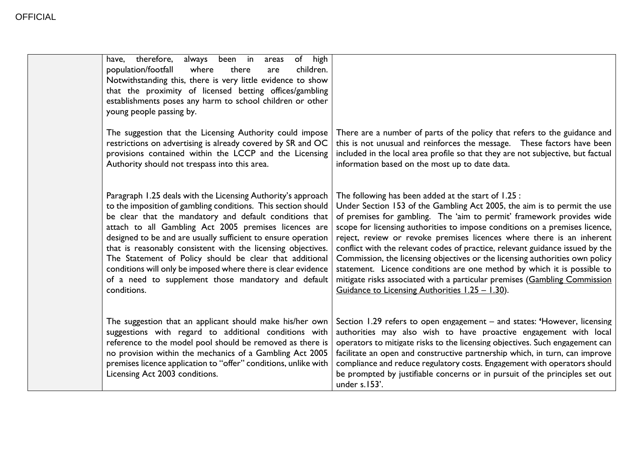| have, therefore,<br>always been in<br>population/footfall<br>where<br>Notwithstanding this, there is very little evidence to show<br>that the proximity of licensed betting offices/gambling<br>establishments poses any harm to school children or other<br>young people passing by.                                                                                                                                                                                                                                                                                                | of high<br>areas<br>there<br>children.<br>are |                                                                                                                                                                                                                                                                                                                                                                                                                                                                                                                                                                                                                                                                                                                                              |
|--------------------------------------------------------------------------------------------------------------------------------------------------------------------------------------------------------------------------------------------------------------------------------------------------------------------------------------------------------------------------------------------------------------------------------------------------------------------------------------------------------------------------------------------------------------------------------------|-----------------------------------------------|----------------------------------------------------------------------------------------------------------------------------------------------------------------------------------------------------------------------------------------------------------------------------------------------------------------------------------------------------------------------------------------------------------------------------------------------------------------------------------------------------------------------------------------------------------------------------------------------------------------------------------------------------------------------------------------------------------------------------------------------|
| The suggestion that the Licensing Authority could impose<br>restrictions on advertising is already covered by SR and OC<br>provisions contained within the LCCP and the Licensing<br>Authority should not trespass into this area.                                                                                                                                                                                                                                                                                                                                                   |                                               | There are a number of parts of the policy that refers to the guidance and<br>this is not unusual and reinforces the message.  These factors have been<br>included in the local area profile so that they are not subjective, but factual<br>information based on the most up to date data.                                                                                                                                                                                                                                                                                                                                                                                                                                                   |
| Paragraph 1.25 deals with the Licensing Authority's approach<br>to the imposition of gambling conditions. This section should<br>be clear that the mandatory and default conditions that<br>attach to all Gambling Act 2005 premises licences are<br>designed to be and are usually sufficient to ensure operation<br>that is reasonably consistent with the licensing objectives.<br>The Statement of Policy should be clear that additional<br>conditions will only be imposed where there is clear evidence<br>of a need to supplement those mandatory and default<br>conditions. |                                               | The following has been added at the start of 1.25 :<br>Under Section 153 of the Gambling Act 2005, the aim is to permit the use<br>of premises for gambling. The 'aim to permit' framework provides wide<br>scope for licensing authorities to impose conditions on a premises licence,<br>reject, review or revoke premises licences where there is an inherent<br>conflict with the relevant codes of practice, relevant guidance issued by the<br>Commission, the licensing objectives or the licensing authorities own policy<br>statement. Licence conditions are one method by which it is possible to<br>mitigate risks associated with a particular premises (Gambling Commission<br>Guidance to Licensing Authorities 1.25 - 1.30). |
| The suggestion that an applicant should make his/her own<br>suggestions with regard to additional conditions with<br>reference to the model pool should be removed as there is<br>no provision within the mechanics of a Gambling Act 2005<br>premises licence application to "offer" conditions, unlike with<br>Licensing Act 2003 conditions.                                                                                                                                                                                                                                      |                                               | Section 1.29 refers to open engagement - and states: 'However, licensing<br>authorities may also wish to have proactive engagement with local<br>operators to mitigate risks to the licensing objectives. Such engagement can<br>facilitate an open and constructive partnership which, in turn, can improve<br>compliance and reduce regulatory costs. Engagement with operators should<br>be prompted by justifiable concerns or in pursuit of the principles set out<br>under s.153'.                                                                                                                                                                                                                                                     |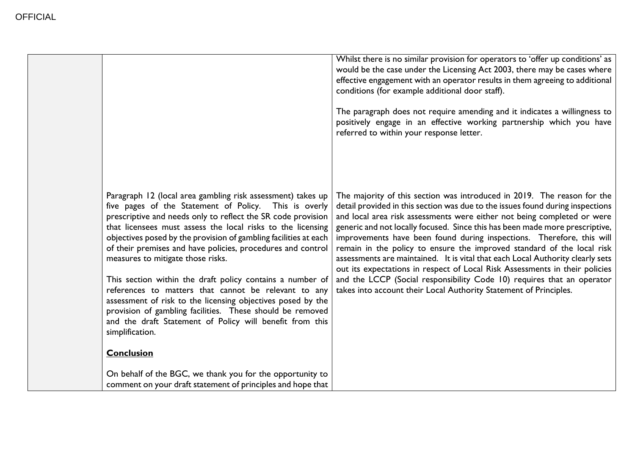|                                                                                                                                                                                                                                                                                                                                                                                                                                                                                                                                                                                                                                                                                                                                                                                  | Whilst there is no similar provision for operators to 'offer up conditions' as<br>would be the case under the Licensing Act 2003, there may be cases where<br>effective engagement with an operator results in them agreeing to additional<br>conditions (for example additional door staff).<br>The paragraph does not require amending and it indicates a willingness to<br>positively engage in an effective working partnership which you have<br>referred to within your response letter.                                                                                                                                                                                                                                                                                          |
|----------------------------------------------------------------------------------------------------------------------------------------------------------------------------------------------------------------------------------------------------------------------------------------------------------------------------------------------------------------------------------------------------------------------------------------------------------------------------------------------------------------------------------------------------------------------------------------------------------------------------------------------------------------------------------------------------------------------------------------------------------------------------------|-----------------------------------------------------------------------------------------------------------------------------------------------------------------------------------------------------------------------------------------------------------------------------------------------------------------------------------------------------------------------------------------------------------------------------------------------------------------------------------------------------------------------------------------------------------------------------------------------------------------------------------------------------------------------------------------------------------------------------------------------------------------------------------------|
| Paragraph 12 (local area gambling risk assessment) takes up<br>five pages of the Statement of Policy. This is overly<br>prescriptive and needs only to reflect the SR code provision<br>that licensees must assess the local risks to the licensing<br>objectives posed by the provision of gambling facilities at each<br>of their premises and have policies, procedures and control<br>measures to mitigate those risks.<br>This section within the draft policy contains a number of<br>references to matters that cannot be relevant to any<br>assessment of risk to the licensing objectives posed by the<br>provision of gambling facilities. These should be removed<br>and the draft Statement of Policy will benefit from this<br>simplification.<br><b>Conclusion</b> | The majority of this section was introduced in 2019. The reason for the<br>detail provided in this section was due to the issues found during inspections<br>and local area risk assessments were either not being completed or were<br>generic and not locally focused. Since this has been made more prescriptive,<br>improvements have been found during inspections. Therefore, this will<br>remain in the policy to ensure the improved standard of the local risk<br>assessments are maintained. It is vital that each Local Authority clearly sets<br>out its expectations in respect of Local Risk Assessments in their policies<br>and the LCCP (Social responsibility Code 10) requires that an operator<br>takes into account their Local Authority Statement of Principles. |
| On behalf of the BGC, we thank you for the opportunity to<br>comment on your draft statement of principles and hope that                                                                                                                                                                                                                                                                                                                                                                                                                                                                                                                                                                                                                                                         |                                                                                                                                                                                                                                                                                                                                                                                                                                                                                                                                                                                                                                                                                                                                                                                         |